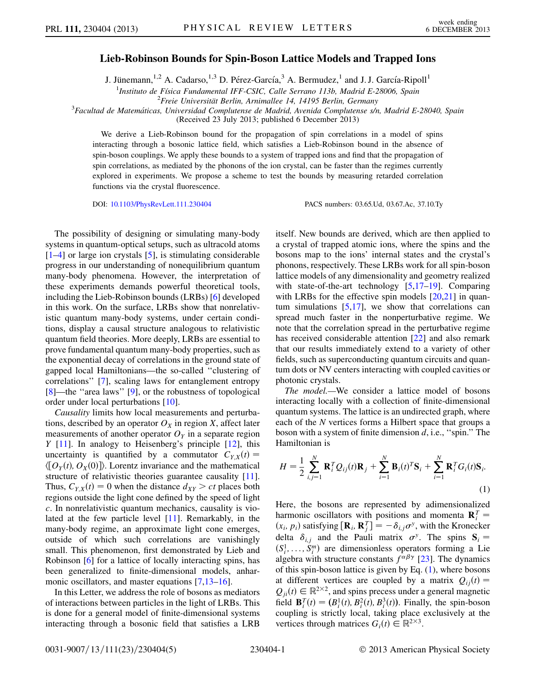## Lieb-Robinson Bounds for Spin-Boson Lattice Models and Trapped Ions

J. Jünemann,<sup>1,2</sup> A. Cadarso,<sup>1,3</sup> D. Pérez-García,<sup>3</sup> A. Bermudez,<sup>1</sup> and J. J. García-Ripoll<sup>1</sup>

<sup>1</sup>Instituto de Física Fundamental IFF-CSIC, Calle Serrano 113b, Madrid E-28006, Spain <sup>2</sup> Frais Universität Barlin, Arnimalles 14, 14195 Barlin, Germany

<sup>2</sup>Freie Universität Berlin, Arnimallee 14, 14195 Berlin, Germany<br><sup>3</sup>Facultad de Matemáticas, Universidad Complutense de Madrid, Avenida Complutense s/n, Madrid E-28040, Spain

(Received 23 July 2013; published 6 December 2013)

We derive a Lieb-Robinson bound for the propagation of spin correlations in a model of spins interacting through a bosonic lattice field, which satisfies a Lieb-Robinson bound in the absence of spin-boson couplings. We apply these bounds to a system of trapped ions and find that the propagation of spin correlations, as mediated by the phonons of the ion crystal, can be faster than the regimes currently explored in experiments. We propose a scheme to test the bounds by measuring retarded correlation functions via the crystal fluorescence.

DOI: [10.1103/PhysRevLett.111.230404](http://dx.doi.org/10.1103/PhysRevLett.111.230404) PACS numbers: 03.65.Ud, 03.67.Ac, 37.10.Ty

The possibility of designing or simulating many-body systems in quantum-optical setups, such as ultracold atoms [\[1–](#page-3-0)[4](#page-4-0)] or large ion crystals [[5](#page-4-1)], is stimulating considerable progress in our understanding of nonequilibrium quantum many-body phenomena. However, the interpretation of these experiments demands powerful theoretical tools, including the Lieb-Robinson bounds (LRBs) [\[6\]](#page-4-2) developed in this work. On the surface, LRBs show that nonrelativistic quantum many-body systems, under certain conditions, display a causal structure analogous to relativistic quantum field theories. More deeply, LRBs are essential to prove fundamental quantum many-body properties, such as the exponential decay of correlations in the ground state of gapped local Hamiltonians—the so-called ''clustering of correlations'' [\[7\]](#page-4-3), scaling laws for entanglement entropy [\[8\]](#page-4-4)—the ''area laws'' [\[9](#page-4-5)], or the robustness of topological order under local perturbations [\[10\]](#page-4-6).

Causality limits how local measurements and perturbations, described by an operator  $O_X$  in region X, affect later measurements of another operator  $O<sub>Y</sub>$  in a separate region  $Y$  [\[11\]](#page-4-7). In analogy to Heisenberg's principle [\[12\]](#page-4-8), this uncertainty is quantified by a commutator  $C_{YX}(t) =$  $\langle [O_Y(t), O_X(0)] \rangle$ . Lorentz invariance and the mathematical structure of relativistic theories guarantee causality [[11\]](#page-4-7). Thus,  $C_{YX}(t) = 0$  when the distance  $d_{XY} > ct$  places both regions outside the light cone defined by the speed of light c. In nonrelativistic quantum mechanics, causality is violated at the few particle level [[11](#page-4-7)]. Remarkably, in the many-body regime, an approximate light cone emerges, outside of which such correlations are vanishingly small. This phenomenon, first demonstrated by Lieb and Robinson [[6](#page-4-2)] for a lattice of locally interacting spins, has been generalized to finite-dimensional models, anhar-monic oscillators, and master equations [[7](#page-4-3),[13](#page-4-9)[–16\]](#page-4-10).

In this Letter, we address the role of bosons as mediators of interactions between particles in the light of LRBs. This is done for a general model of finite-dimensional systems interacting through a bosonic field that satisfies a LRB itself. New bounds are derived, which are then applied to a crystal of trapped atomic ions, where the spins and the bosons map to the ions' internal states and the crystal's phonons, respectively. These LRBs work for all spin-boson lattice models of any dimensionality and geometry realized with state-of-the-art technology [\[5](#page-4-1),[17](#page-4-11)–[19](#page-4-12)]. Comparing with LRBs for the effective spin models  $[20,21]$  $[20,21]$  in quantum simulations  $[5,17]$  $[5,17]$  $[5,17]$ , we show that correlations can spread much faster in the nonperturbative regime. We note that the correlation spread in the perturbative regime has received considerable attention [[22](#page-4-15)] and also remark that our results immediately extend to a variety of other fields, such as superconducting quantum circuits and quantum dots or NV centers interacting with coupled cavities or photonic crystals.

The model.—We consider a lattice model of bosons interacting locally with a collection of finite-dimensional quantum systems. The lattice is an undirected graph, where each of the N vertices forms a Hilbert space that groups a boson with a system of finite dimension  $d$ , i.e., "spin." The Hamiltonian is

<span id="page-0-0"></span>
$$
H = \frac{1}{2} \sum_{i,j=1}^{N} \mathbf{R}_{i}^{T} Q_{ij}(t) \mathbf{R}_{j} + \sum_{i=1}^{N} \mathbf{B}_{i}(t)^{T} \mathbf{S}_{i} + \sum_{i=1}^{N} \mathbf{R}_{i}^{T} G_{i}(t) \mathbf{S}_{i}.
$$
\n(1)

Here, the bosons are represented by adimensionalized harmonic oscillators with positions and momenta  $\mathbf{R}_{i}^{T} =$ fraction in the Kronecker<br>  $(x_i, p_i)$  satisfying  $[\mathbf{R}_i, \mathbf{R}_j^T] = -\delta_{i,j}\sigma^y$ , with the Kronecker<br>
dalta  $\delta$  and the Pauli matrix  $\sigma^y$ . The spins  $\mathbf{S}$ delta  $\delta_{i,j}$  and the Pauli matrix  $\sigma^y$ . The spins  $S_i = (S^1 \ S^m)$  are dimensionless operators forming a Lie  $(S_1^1, \ldots, S_i^m)$  are dimensionless operators forming a Lie<br>algebra with structure constants  $f^{\alpha\beta\gamma}$  [23]. The dynamics algebra with structure constants  $f^{\alpha\beta\gamma}$  [[23](#page-4-16)]. The dynamics of this spin-boson lattice is given by Eq.  $(1)$  $(1)$ , where bosons at different vertices are coupled by a matrix  $Q_{ii}(t) =$  $Q_{ji}(t) \in \mathbb{R}^{2 \times 2}$ , and spins precess under a general magnetic field  $\mathbf{B}_i^T(t) = (B_i^1(t), B_i^2(t), B_i^3(t))$ . Finally, the spin-boson coupling is strictly local, taking place exclusively at the coupling is strictly local, taking place exclusively at the vertices through matrices  $G_i(t) \in \mathbb{R}^{2 \times 3}$ .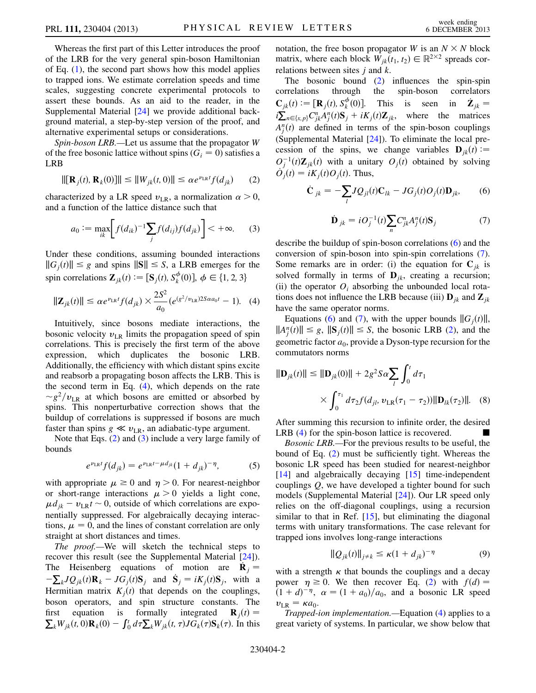Whereas the first part of this Letter introduces the proof of the LRB for the very general spin-boson Hamiltonian of Eq. [\(1\)](#page-0-0), the second part shows how this model applies to trapped ions. We estimate correlation speeds and time scales, suggesting concrete experimental protocols to assert these bounds. As an aid to the reader, in the Supplemental Material [\[24\]](#page-4-17) we provide additional background material, a step-by-step version of the proof, and alternative experimental setups or considerations.

Spin-boson LRB.—Let us assume that the propagator W of the free bosonic lattice without spins ( $G_i = 0$ ) satisfies a LRB

<span id="page-1-1"></span>
$$
\|[\mathbf{R}_j(t), \mathbf{R}_k(0)]\| \le \|W_{jk}(t, 0)\| \le \alpha e^{\nu_{LR}t} f(d_{jk}) \qquad (2)
$$

<span id="page-1-2"></span>characterized by a LR speed  $v_{LR}$ , a normalization  $\alpha > 0$ , and a function of the lattice distance such that

$$
a_0 := \max_{ik} \bigg[ f(d_{ik})^{-1} \sum_j f(d_{ij}) f(d_{jk}) \bigg] < +\infty. \tag{3}
$$

Under these conditions, assuming bounded interactions  $||G_i(t)|| \leq g$  and spins  $||S|| \leq S$ , a LRB emerges for the spin correlations  $\mathbf{Z}_{jk}(t) := [\mathbf{S}_j(t), S_k^{\phi}(0)], \phi \in \{1, 2, 3\}$ 

<span id="page-1-0"></span>
$$
\|\mathbf{Z}_{jk}(t)\| \le \alpha e^{\nu_{LR}t} f(d_{jk}) \times \frac{2S^2}{a_0} (e^{(g^2/\nu_{LR}) 2S\alpha a_0 t} - 1). \quad (4)
$$

Intuitively, since bosons mediate interactions, the bosonic velocity  $v_{LR}$  limits the propagation speed of spin correlations. This is precisely the first term of the above expression, which duplicates the bosonic LRB. Additionally, the efficiency with which distant spins excite and reabsorb a propagating boson affects the LRB. This is the second term in Eq. ([4](#page-1-0)), which depends on the rate  $\sim g^2/v_{LR}$  at which bosons are emitted or absorbed by spins. This nonperturbative correction shows that the buildup of correlations is suppressed if bosons are much faster than spins  $g \ll v_{LR}$ , an adiabatic-type argument.

<span id="page-1-5"></span>Note that Eqs. [\(2\)](#page-1-1) and [\(3](#page-1-2)) include a very large family of bounds

$$
e^{\nu_{LR}t}f(d_{jk}) = e^{\nu_{LR}t - \mu d_{jk}}(1 + d_{jk})^{-\eta}, \tag{5}
$$

with appropriate  $\mu \ge 0$  and  $\eta > 0$ . For nearest-neighbor or short-range interactions  $\mu > 0$  yields a light cone,  $\mu d_{jk} - v_{LR} t \sim 0$ , outside of which correlations are expo-<br>neutrally suppressed. For algebraically decaying interacnentially suppressed. For algebraically decaying interactions,  $\mu = 0$ , and the lines of constant correlation are only straight at short distances and times.

The proof.—We will sketch the technical steps to recover this result (see the Supplemental Material [\[24](#page-4-17)]). The Heisenberg equations of motion are  $\dot{\mathbf{R}}_i =$ Hermitian matrix  $K_j(t)$  that depends on the couplings,  $\sum_k JQ_{jk}(t)$ **R**<sub>k</sub> –  $JG_j(t)$ **S**<sub>j</sub> and  $\dot{S}_j = iK_j(t)$ **S**<sub>j</sub>, with a sermition matrix  $K_j(t)$  that depends on the couplings boson operators, and spin structure constants. The first equation is formally integrated  $\mathbf{R}_j(t) = \sum_k W_{jk}(t, 0) \mathbf{R}_k(0) - \int_0^t d\tau \sum_k W_{jk}(t, \tau) J G_k(\tau) \mathbf{S}_k(\tau)$ . In this notation, the free boson propagator W is an  $N \times N$  block matrix, where each block  $W_{ik}(t_1, t_2) \in \mathbb{R}^{2 \times 2}$  spreads correlations between sites  $j$  and  $k$ .

The bosonic bound ([2](#page-1-1)) influences the spin-spin correlations through the spin-boson correlators  $\mathbf{C}_{jk}(t) := [\mathbf{R}_j(t), S^{\phi}_k(0)].$  This is seen in  $\mathbf{Z}$ <br> $\mathbf{K} = C^{\eta} A^{\eta}(t) \mathbf{S} + i K(t) \mathbf{Z}$  where the metric  $\sum_{jk}(t) := [\mathbf{K}_j(t), S_k(0)]$ . This is seen in  $\sum_{jk} = i \sum_{n \in \{x, p\}} C_{jk}^n A_j^n(t) S_j + i K_j(t) \mathbf{Z}_{jk}$ , where the matrices  $A_j^n(t)$  are defined in terms of the spin-boson couplings<br>(Supplemental Material [241). To eliminate the local pre-(Supplemental Material [\[24\]](#page-4-17)). To eliminate the local precession of the spins, we change variables  $\mathbf{D}_{jk}(t) :=$  $O_j^{-1}(t)\mathbb{Z}_{jk}(t)$  with a unitary  $O_j(t)$  obtained by solving  $\hat{O}_j(t) = iK(t)Q(t)$ . Thus  $\dot{\mathcal{O}}_j(t) = iK_j(t)\mathcal{O}_j(t)$ . Thus,

<span id="page-1-4"></span>
$$
\dot{\mathbf{C}}_{jk} = -\sum_{l} JQ_{jl}(t)\mathbf{C}_{lk} - JG_j(t)O_j(t)\mathbf{D}_{jk},\qquad(6)
$$

$$
\dot{\mathbf{D}}_{jk} = iO_j^{-1}(t)\sum_n C_{jk}^n A_j^n(t)\mathbf{S}_j \tag{7}
$$

<span id="page-1-3"></span>describe the buildup of spin-boson correlations [\(6](#page-1-3)) and the conversion of spin-boson into spin-spin correlations ([7\)](#page-1-4). Some remarks are in order: (i) the equation for  $C_{ik}$  is solved formally in terms of  $\mathbf{D}_{ik}$ , creating a recursion; (ii) the operator  $O_i$  absorbing the unbounded local rotations does not influence the LRB because (iii)  $\mathbf{D}_{ik}$  and  $\mathbf{Z}_{ik}$ have the same operator norms.

Equations ([6\)](#page-1-3) and [\(7\)](#page-1-4), with the upper bounds  $||G_i(t)||$ ,  $||A_{j}^{n}(t)|| \leq g$ ,  $||S_{j}(t)|| \leq S$ , the bosonic LRB ([2\)](#page-1-1), and the coordination for the coordination for the geometric factor  $a_0$ , provide a Dyson-type recursion for the commutators norms

$$
\|\mathbf{D}_{jk}(t)\| \le \|\mathbf{D}_{jk}(0)\| + 2g^2 S \alpha \sum_{l} \int_0^l d\tau_1
$$
  
 
$$
\times \int_0^{\tau_1} d\tau_2 f(d_{jl}, \nu_{LR}(\tau_1 - \tau_2)) \|\mathbf{D}_{lk}(\tau_2)\|.
$$
 (8)

After summing this recursion to infinite order, the desired LRB ([4](#page-1-0)) for the spin-boson lattice is recovered.  $\blacksquare$ 

Bosonic LRB.—For the previous results to be useful, the bound of Eq. [\(2](#page-1-1)) must be sufficiently tight. Whereas the bosonic LR speed has been studied for nearest-neighbor [\[14\]](#page-4-18) and algebraically decaying [[15](#page-4-19)] time-independent couplings  $Q$ , we have developed a tighter bound for such models (Supplemental Material [\[24\]](#page-4-17)). Our LR speed only relies on the off-diagonal couplings, using a recursion similar to that in Ref. [\[15\]](#page-4-19), but eliminating the diagonal terms with unitary transformations. The case relevant for trapped ions involves long-range interactions

$$
\|Q_{jk}(t)\|_{j\neq k} \le \kappa (1+d_{jk})^{-\eta} \tag{9}
$$

<span id="page-1-6"></span>with a strength  $\kappa$  that bounds the couplings and a decay power  $\eta \ge 0$ . We then recover Eq. ([2\)](#page-1-1) with  $f(d) =$  $(1+d)^{-\eta}$ ,  $\alpha = (1+a_0)/a_0$ , and a bosonic LR speed<br> $\eta_{\text{Lip}} = \kappa a_0$  $v_{LR} = \kappa a_0$ .

Trapped-ion implementation.—Equation ([4\)](#page-1-0) applies to a great variety of systems. In particular, we show below that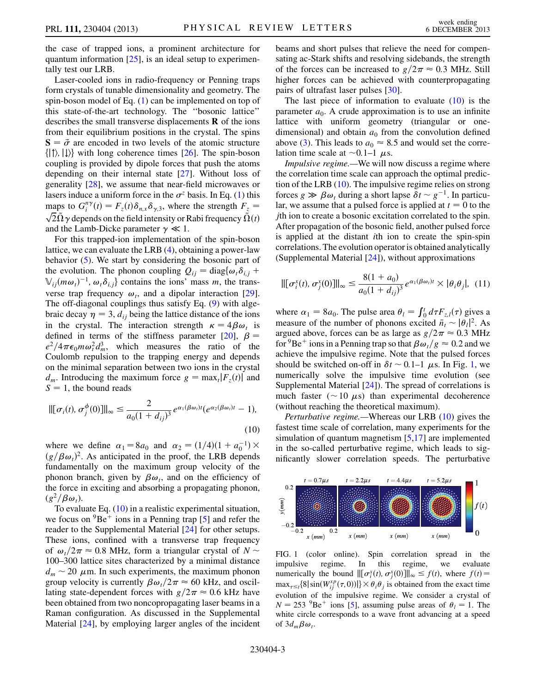the case of trapped ions, a prominent architecture for quantum information  $[25]$  $[25]$  $[25]$ , is an ideal setup to experimentally test our LRB.

Laser-cooled ions in radio-frequency or Penning traps form crystals of tunable dimensionality and geometry. The spin-boson model of Eq. ([1](#page-0-0)) can be implemented on top of this state-of-the-art technology. The ''bosonic lattice'' describes the small transverse displacements  $\bf{R}$  of the ions from their equilibrium positions in the crystal. The spins  $S = \vec{\sigma}$  are encoded in two levels of the atomic structure<br>{|t} ||)} with long coherence times [26]. The spin-boson  $\{|\uparrow\rangle, |\downarrow\rangle\}$  with long coherence times [\[26\]](#page-4-21). The spin-boson coupling is provided by dipole forces that push the atoms depending on their internal state [[27](#page-4-22)]. Without loss of generality [\[28\]](#page-4-23), we assume that near-field microwaves or lasers induce a uniform force in the  $\sigma^z$  basis. In Eq. ([1](#page-0-0)) this maps to  $G_i^{n\gamma}(t) = F_z(t)\delta_{n,x}\delta_{\gamma,3}$ , where the strength  $F_z = \sqrt{2}\tilde{\Omega}\gamma$  depends on the field intensity or Rabi frequency  $\tilde{\Omega}(t)$  $\sqrt{2}\tilde{\Omega} \gamma$  depends on the field intensity or Rabi frequency  $\tilde{\Omega}(t)$ <br>and the Lamb-Dicke parameter  $\gamma \ll 1$ and the Lamb-Dicke parameter  $\gamma \ll 1$ .

For this trapped-ion implementation of the spin-boson lattice, we can evaluate the LRB ([4](#page-1-0)), obtaining a power-law behavior ([5\)](#page-1-5). We start by considering the bosonic part of the evolution. The phonon coupling  $Q_{ii} = \text{diag}\{\omega_i \delta_{i,i} + \omega_i\}$  $\mathbb{V}_{ij}(m\omega_i)^{-1}$ ,  $\omega_i \delta_{i,j}$  contains the ions' mass m, the transverse trap frequency  $\omega_t$ , and a dipolar interaction [\[29\]](#page-4-24). The off-diagonal couplings thus satisfy Eq. [\(9\)](#page-1-6) with algebraic decay  $\eta = 3$ ,  $d_{ij}$  being the lattice distance of the ions in the crystal. The interaction strength  $\kappa = 4\beta\omega_t$  is defined in terms of the stiffness parameter  $[20]$  $[20]$  $[20]$ ,  $\beta$  =  $e^2/4\pi\epsilon_0 m \omega_t^2 d_m^3$ , which measures the ratio of the Coulomb repulsion to the trapping energy and depends on the minimal separation between two ions in the crystal  $d_m$ . Introducing the maximum force  $g = \max_t |F_z(t)|$  and  $S = 1$ , the bound reads

<span id="page-2-0"></span>
$$
\|[\sigma_i(t), \sigma_j^{\phi}(0)]\|_{\infty} \le \frac{2}{a_0(1+d_{ij})^3} e^{\alpha_1(\beta\omega_i)t} (e^{\alpha_2(\beta\omega_i)t} - 1),
$$
\n(10)

where we define  $\alpha_1 = 8a_0$  and  $\alpha_2 = (1/4)(1 + a_0^{-1})$ <br>( $a/B\omega_0$ )<sup>2</sup> As anticipated in the proof the LRB depe  $(g/\beta\omega_t)^2$ . As anticipated in the proof, the LRB depends<br>fundamentally on the maximum group velocity of the fundamentally on the maximum group velocity of the phonon branch, given by  $\beta\omega_t$ , and on the efficiency of the force in exciting and absorbing a propagating phonon,  $(g^2/\beta\omega_t)$ .

To evaluate Eq. [\(10\)](#page-2-0) in a realistic experimental situation, we focus on  ${}^{9}Be^+$  ions in a Penning trap [\[5\]](#page-4-1) and refer the reader to the Supplemental Material [\[24\]](#page-4-17) for other setups. These ions, confined with a transverse trap frequency of  $\omega_t/2\pi \approx 0.8$  MHz, form a triangular crystal of  $N \sim$ 100–300 lattice sites characterized by a minimal distance  $d_m \sim 20 \mu$ m. In such experiments, the maximum phonon group velocity is currently  $\beta \omega_t / 2\pi \approx 60$  kHz, and oscillating state-dependent forces with  $g/2\pi \approx 0.6$  kHz have been obtained from two noncopropagating laser beams in a Raman configuration. As discussed in the Supplemental Material [[24\]](#page-4-17), by employing larger angles of the incident beams and short pulses that relieve the need for compensating ac-Stark shifts and resolving sidebands, the strength of the forces can be increased to  $g/2\pi \approx 0.3$  MHz. Still higher forces can be achieved with counterpropagating pairs of ultrafast laser pulses [\[30](#page-4-25)].

The last piece of information to evaluate  $(10)$  $(10)$  $(10)$  is the parameter  $a_0$ . A crude approximation is to use an infinite lattice with uniform geometry (triangular or onedimensional) and obtain  $a_0$  from the convolution defined above [\(3](#page-1-2)). This leads to  $a_0 \approx 8.5$  and would set the correlation time scale at  $\sim$  0.1–1  $\mu$ s.

Impulsive regime.—We will now discuss a regime where the correlation time scale can approach the optimal prediction of the LRB [\(10\)](#page-2-0). The impulsive regime relies on strong forces  $g \gg \beta \omega_t$  during a short lapse  $\delta t \sim g^{-1}$ . In particu-<br>lar, we assume that a pulsed force is applied at  $t = 0$  to the lar, we assume that a pulsed force is applied at  $t = 0$  to the jth ion to create a bosonic excitation correlated to the spin. After propagation of the bosonic field, another pulsed force is applied at the distant ith ion to create the spin-spin correlations. The evolution operator is obtained analytically (Supplemental Material [\[24\]](#page-4-17)), without approximations

$$
\|[\sigma_i^x(t), \sigma_j^x(0)]\|_{\infty} \le \frac{8(1+a_0)}{a_0(1+d_{ij})^3} e^{\alpha_1(\beta \omega_i)t} \times |\theta_i \theta_j|, \tag{11}
$$

where  $\alpha_1 = 8a_0$ . The pulse area  $\theta_l = \int_0^l d\tau F_{z,l}(\tau)$  gives a measure of the number of phonons excited  $\bar{p} \sim |q_l|^2$ . As measure of the number of phonons excited  $\bar{n}_t \sim |\theta_t|^2$ . As<br>aroued above forces can be as large as  $g/2\pi \approx 0.3$  MHz argued above, forces can be as large as  $g/2\pi \approx 0.3$  MHz for <sup>9</sup>Be<sup>+</sup> ions in a Penning trap so that  $\beta \omega_t / g \approx 0.2$  and we achieve the impulsive regime. Note that the pulsed forces should be switched on-off in  $\delta t \sim 0.1$  $\delta t \sim 0.1$ –1  $\mu$ s. In Fig. 1, we numerically solve the impulsive time evolution (see Supplemental Material [\[24\]](#page-4-17)). The spread of correlations is much faster ( $\sim$  10  $\mu$ s) than experimental decoherence (without reaching the theoretical maximum).

Perturbative regime.—Whereas our LRB [\(10\)](#page-2-0) gives the fastest time scale of correlation, many experiments for the simulation of quantum magnetism [\[5](#page-4-1),[17](#page-4-11)] are implemented in the so-called perturbative regime, which leads to significantly slower correlation speeds. The perturbative

<span id="page-2-1"></span>

FIG. 1 (color online). Spin correlation spread in the impulsive regime. In this regime, we evaluate numerically the bound  $\left\| \left[ \sigma_i^x(t), \sigma_j^x(0) \right] \right\|_{\infty} \leq f(t)$ , where  $f(t) =$ <br>may  $S(\sin(W^x P(\tau, 0))) \vee \theta \theta$  is obtained from the exect time  $\max_{\tau \leq t} \{8|\sin(W_{ij}^{xp}(\tau,0))|\} \times \theta_i \theta_j$  is obtained from the exact time<br>evolution of the impulsive regime. We consider a crystal of evolution of the impulsive regime. We consider a crystal of  $N = 253$   $^{9}$ Be<sup>+</sup> ions [\[5](#page-4-1)], assuming pulse areas of  $\theta_l = 1$ . The white circle corresponds to a wave front advancing at a speed of  $3d_m \beta \omega_t$ .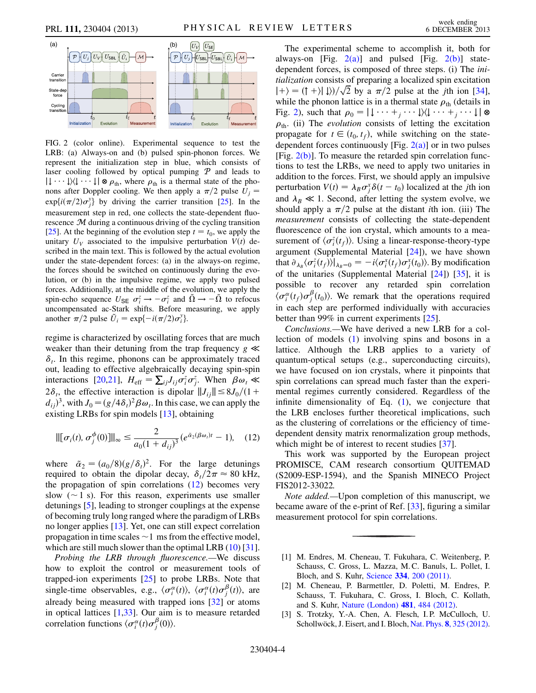<span id="page-3-3"></span>

<span id="page-3-2"></span>FIG. 2 (color online). Experimental sequence to test the LRB: (a) Always-on and (b) pulsed spin-phonon forces. We represent the initialization step in blue, which consists of laser cooling followed by optical pumping  $P$  and leads to nons after Doppler cooling. We then apply a  $\pi/2$  pulse  $U_j =$ <br>  $\text{curl} \left( \frac{f(2)}{2} \right) x_i^y$  by driving the comics transition [25]. In the  $|\downarrow \cdots \downarrow\rangle \langle \downarrow \cdots \downarrow| \otimes \rho_{\text{th}}$ , where  $\rho_{\text{th}}$  is a thermal state of the pho- $\exp\{i(\pi/2)\sigma_j^y\}$  by driving the carrier transition [[25](#page-4-20)]. In the mocouramont stap in red, one collects the state dependent fluo measurement step in red, one collects the state-dependent fluorescence  $M$  during a continuous driving of the cycling transition [\[25\]](#page-4-20). At the beginning of the evolution step  $t = t_0$ , we apply the unitary  $U_V$  associated to the impulsive perturbation  $V(t)$  described in the main text. This is followed by the actual evolution under the state-dependent forces: (a) in the always-on regime, the forces should be switched on continuously during the evolution, or (b) in the impulsive regime, we apply two pulsed forces. Additionally, at the middle of the evolution, we apply the spin-echo sequence  $U_{\text{SE}} \sigma_i^z \rightarrow -\sigma_i^z$  and  $\tilde{\Omega} \rightarrow -\tilde{\Omega}$  to refocus spin-echo sequence  $\sigma_{\rm SE}$   $\sigma_i \rightarrow -\sigma_i$  and  $\Omega \rightarrow -\Omega$  to refocus<br>uncompensated ac-Stark shifts. Before measuring, we apply another  $\pi/2$  pulse  $\tilde{U}_i = \exp\{-i(\pi/2)\sigma_i^y\}.$ 

regime is characterized by oscillating forces that are much weaker than their detuning from the trap frequency  $g \ll$  $\delta_t$ . In this regime, phonons can be approximately traced out, leading to effective algebraically decaying spin-spin interactions [\[20](#page-4-13)[,21\]](#page-4-14),  $H_{\text{eff}} = \sum_{ij} J_{ij} \sigma_i^z \sigma_j^z$ . When  $\beta \omega_i \ll$ <br>2.8 the effective interaction is dipoler  $||I|| \leq 8I/(1+$  $2\delta_t$ , the effective interaction is dipolar  $||J_{ij}|| \leq 8J_0/(1+\epsilon)$  $(d_{ij})^3$ , with  $J_0 = (g/4\delta_t)^2 \beta \omega_t$ . In this case, we can apply the existing LBBs for spin models [13], obtaining existing LRBs for spin models [[13](#page-4-9)], obtaining

<span id="page-3-1"></span>
$$
\|[\sigma_i(t), \sigma_j^{\phi}(0)]\|_{\infty} \le \frac{2}{a_0(1+d_{ij})^3} (e^{\tilde{\alpha}_2(\beta\omega_i)t} - 1), \quad (12)
$$

where  $\tilde{\alpha}_2 = (a_0/8)(g/\delta_t)^2$ . For the large detunings<br>required to obtain the dipolar decay  $\delta/2\pi \approx 80 \text{ kHz}$ required to obtain the dipolar decay,  $\delta_t/2\pi \approx 80$  kHz, the propagation of spin correlations [\(12\)](#page-3-1) becomes very slow  $(\sim 1 \text{ s})$ . For this reason, experiments use smaller detunings [[5](#page-4-1)], leading to stronger couplings at the expense of becoming truly long ranged where the paradigm of LRBs no longer applies [\[13](#page-4-9)]. Yet, one can still expect correlation propagation in time scales  $\sim$  1 ms from the effective model, which are still much slower than the optimal LRB [\(10\)](#page-2-0) [[31\]](#page-4-26).

Probing the LRB through fluorescence.—We discuss how to exploit the control or measurement tools of trapped-ion experiments  $[25]$  to probe LRBs. Note that single-time observables, e.g.,  $\langle \sigma_i^{\alpha}(t) \rangle$ ,  $\langle \sigma_i^{\alpha}(t) \sigma_j^{\beta}(t) \rangle$ , are already being measured with trapped ions [\[32\]](#page-4-27) or atoms in optical lattices [\[1,](#page-3-0)[33\]](#page-4-28). Our aim is to measure retarded correlation functions  $\langle \sigma_i^{\alpha}(t) \sigma_j^{\beta}(0) \rangle$ .

The experimental scheme to accomplish it, both for always-on [Fig.  $2(a)$ ] and pulsed [Fig.  $2(b)$ ] statedependent forces, is composed of three steps. (i) The initialization consists of preparing a localized spin excitation  $|+\rangle = (1 + \rangle |\downarrow\rangle)/\sqrt{2}$  by a  $\pi/2$  pulse at the *j*th ion [[34\]](#page-4-29),<br>while the phonon lattice is in a thermal state  $\rho_{\rm c}$  (details in while the phonon lattice is in a thermal state  $\rho_{\text{th}}$  (details in Fig. [2\)](#page-3-3), such that  $\rho_0 = |\downarrow \cdots + \downarrow \cdots \downarrow \rangle \langle \downarrow \cdots + \downarrow \cdots \downarrow | \otimes$ Fig. 2), such that  $p_0 = 1 + \cdots + j + 1/\sqrt{1 + \cdots + j + 1}$ propagate for  $t \in (t_0, t_f)$ , while switching on the statedependent forces continuously [Fig.  $2(a)$ ] or in two pulses [Fig.  $2(b)$ ]. To measure the retarded spin correlation functions to test the LRBs, we need to apply two unitaries in addition to the forces. First, we should apply an impulsive perturbation  $V(t) = \lambda_B \sigma_j^x \delta(t - t_0)$  localized at the *j*th ion and  $\lambda_B \ll 1$ . Second, after letting the system evolve, we should apply a  $\pi/2$  pulse at the distant *i*th ion. (iii) The measurement consists of collecting the state-dependent fluorescence of the ion crystal, which amounts to a measurement of  $\langle \sigma_i^z(t_f) \rangle$ . Using a linear-response-theory-type<br>aroument (Supplemental Material [241]), we have shown argument (Supplemental Material [[24](#page-4-17)]), we have shown that  $\partial_{\lambda_B} (\sigma_i^z(t_f))|_{\lambda_B=0} = -i \langle \sigma_i^x(t_f) \sigma_j^x(t_0) \rangle$ . By modification of the unitarior (Supplemental Material 1241) 1351 it is of the unitaries (Supplemental Material [[24](#page-4-17)]) [\[35\]](#page-4-30), it is possible to recover any retarded spin correlation  $\langle \sigma_i^{\alpha}(t_f) \sigma_j^{\beta}(t_0) \rangle$ . We remark that the operations required<br>in each stap are performed individually with ecouraging in each step are performed individually with accuracies better than 99% in current experiments [[25](#page-4-20)].

Conclusions.—We have derived a new LRB for a collection of models ([1\)](#page-0-0) involving spins and bosons in a lattice. Although the LRB applies to a variety of quantum-optical setups (e.g., superconducting circuits), we have focused on ion crystals, where it pinpoints that spin correlations can spread much faster than the experimental regimes currently considered. Regardless of the infinite dimensionality of Eq. [\(1\)](#page-0-0), we conjecture that the LRB encloses further theoretical implications, such as the clustering of correlations or the efficiency of timedependent density matrix renormalization group methods, which might be of interest to recent studies [\[37\]](#page-4-31).

This work was supported by the European project PROMISCE, CAM research consortium QUITEMAD (S2009-ESP-1594), and the Spanish MINECO Project FIS2012-33022.

Note added.—Upon completion of this manuscript, we became aware of the e-print of Ref. [\[33](#page-4-28)], figuring a similar measurement protocol for spin correlations.

- <span id="page-3-0"></span>[1] M. Endres, M. Cheneau, T. Fukuhara, C. Weitenberg, P. Schauss, C. Gross, L. Mazza, M. C. Banuls, L. Pollet, I. Bloch, and S. Kuhr, Science 334[, 200 \(2011\)](http://dx.doi.org/10.1126/science.1209284).
- [2] M. Cheneau, P. Barmettler, D. Poletti, M. Endres, P. Schauss, T. Fukuhara, C. Gross, I. Bloch, C. Kollath, and S. Kuhr, [Nature \(London\)](http://dx.doi.org/10.1038/nature10748) 481, 484 (2012).
- [3] S. Trotzky, Y.-A. Chen, A. Flesch, I. P. McCulloch, U. Schollwöck, J. Eisert, and I. Bloch, Nat. Phys. 8[, 325 \(2012\).](http://dx.doi.org/10.1038/nphys2232)